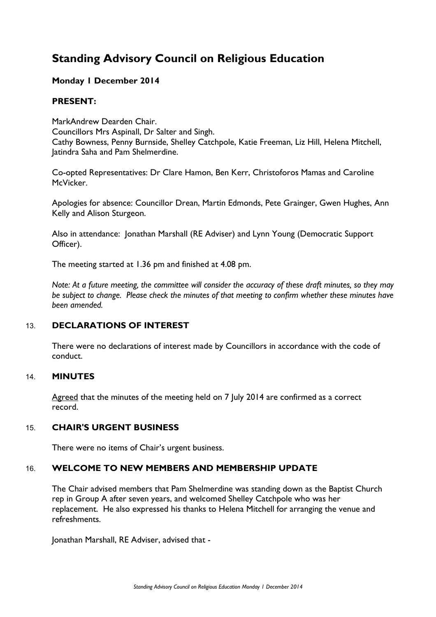# **Standing Advisory Council on Religious Education**

# **Monday 1 December 2014**

# **PRESENT:**

MarkAndrew Dearden Chair. Councillors Mrs Aspinall, Dr Salter and Singh. Cathy Bowness, Penny Burnside, Shelley Catchpole, Katie Freeman, Liz Hill, Helena Mitchell, Jatindra Saha and Pam Shelmerdine.

Co-opted Representatives: Dr Clare Hamon, Ben Kerr, Christoforos Mamas and Caroline McVicker.

Apologies for absence: Councillor Drean, Martin Edmonds, Pete Grainger, Gwen Hughes, Ann Kelly and Alison Sturgeon.

Also in attendance: Jonathan Marshall (RE Adviser) and Lynn Young (Democratic Support Officer).

The meeting started at 1.36 pm and finished at 4.08 pm.

*Note: At a future meeting, the committee will consider the accuracy of these draft minutes, so they may be subject to change. Please check the minutes of that meeting to confirm whether these minutes have been amended.*

# 13. **DECLARATIONS OF INTEREST**

There were no declarations of interest made by Councillors in accordance with the code of conduct.

### 14. **MINUTES**

Agreed that the minutes of the meeting held on 7 July 2014 are confirmed as a correct record.

# 15. **CHAIR'S URGENT BUSINESS**

There were no items of Chair's urgent business.

# 16. **WELCOME TO NEW MEMBERS AND MEMBERSHIP UPDATE**

The Chair advised members that Pam Shelmerdine was standing down as the Baptist Church rep in Group A after seven years, and welcomed Shelley Catchpole who was her replacement. He also expressed his thanks to Helena Mitchell for arranging the venue and refreshments.

Jonathan Marshall, RE Adviser, advised that -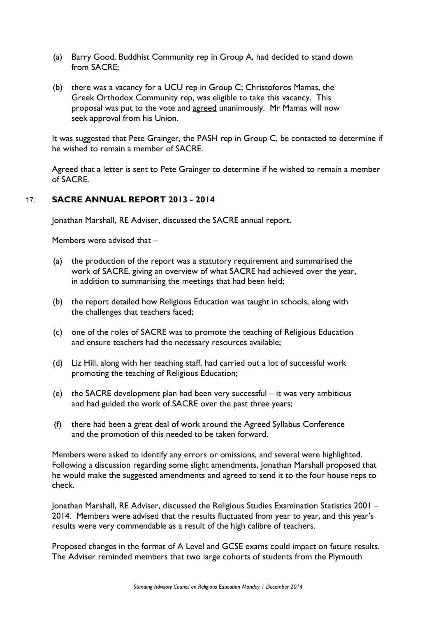- (a) Barry Good, Buddhist Community rep in Group A, had decided to stand down from SACRE;
- (b) there was a vacancy for a UCU rep in Group C; Christoforos Mamas, the Greek Orthodox Community rep, was eligible to take this vacancy. This proposal was put to the vote and agreed unanimously. Mr Mamas will now seek approval from his Union.

It was suggested that Pete Grainger, the PASH rep in Group C, be contacted to determine if he wished to remain a member of SACRE.

Agreed that a letter is sent to Pete Grainger to determine if he wished to remain a member of SACRE.

## 17. **SACRE ANNUAL REPORT 2013 - 2014**

Jonathan Marshall, RE Adviser, discussed the SACRE annual report.

Members were advised that –

- (a) the production of the report was a statutory requirement and summarised the work of SACRE, giving an overview of what SACRE had achieved over the year, in addition to summarising the meetings that had been held;
- (b) the report detailed how Religious Education was taught in schools, along with the challenges that teachers faced;
- (c) one of the roles of SACRE was to promote the teaching of Religious Education and ensure teachers had the necessary resources available;
- (d) Liz Hill, along with her teaching staff, had carried out a lot of successful work promoting the teaching of Religious Education;
- (e) the SACRE development plan had been very successful it was very ambitious and had guided the work of SACRE over the past three years;
- (f) there had been a great deal of work around the Agreed Syllabus Conference and the promotion of this needed to be taken forward.

Members were asked to identify any errors or omissions, and several were highlighted. Following a discussion regarding some slight amendments, Jonathan Marshall proposed that he would make the suggested amendments and agreed to send it to the four house reps to check.

Jonathan Marshall, RE Adviser, discussed the Religious Studies Examination Statistics 2001 – 2014. Members were advised that the results fluctuated from year to year, and this year's results were very commendable as a result of the high calibre of teachers.

Proposed changes in the format of A Level and GCSE exams could impact on future results. The Adviser reminded members that two large cohorts of students from the Plymouth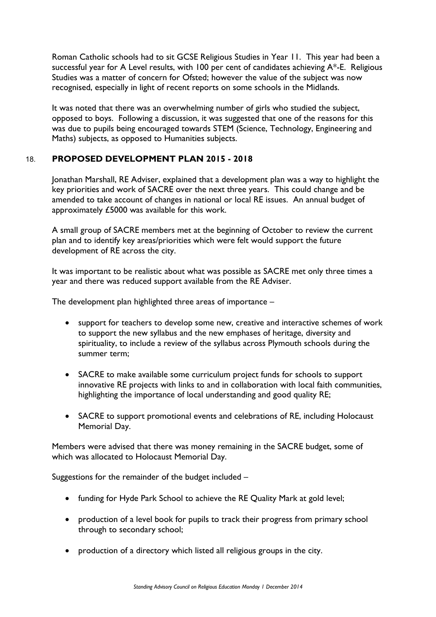Roman Catholic schools had to sit GCSE Religious Studies in Year 11. This year had been a successful year for A Level results, with 100 per cent of candidates achieving A\*-E. Religious Studies was a matter of concern for Ofsted; however the value of the subject was now recognised, especially in light of recent reports on some schools in the Midlands.

It was noted that there was an overwhelming number of girls who studied the subject, opposed to boys. Following a discussion, it was suggested that one of the reasons for this was due to pupils being encouraged towards STEM (Science, Technology, Engineering and Maths) subjects, as opposed to Humanities subjects.

# 18. **PROPOSED DEVELOPMENT PLAN 2015 - 2018**

Jonathan Marshall, RE Adviser, explained that a development plan was a way to highlight the key priorities and work of SACRE over the next three years. This could change and be amended to take account of changes in national or local RE issues. An annual budget of approximately £5000 was available for this work.

A small group of SACRE members met at the beginning of October to review the current plan and to identify key areas/priorities which were felt would support the future development of RE across the city.

It was important to be realistic about what was possible as SACRE met only three times a year and there was reduced support available from the RE Adviser.

The development plan highlighted three areas of importance –

- support for teachers to develop some new, creative and interactive schemes of work to support the new syllabus and the new emphases of heritage, diversity and spirituality, to include a review of the syllabus across Plymouth schools during the summer term;
- SACRE to make available some curriculum project funds for schools to support innovative RE projects with links to and in collaboration with local faith communities, highlighting the importance of local understanding and good quality RE;
- SACRE to support promotional events and celebrations of RE, including Holocaust Memorial Day.

Members were advised that there was money remaining in the SACRE budget, some of which was allocated to Holocaust Memorial Day.

Suggestions for the remainder of the budget included –

- funding for Hyde Park School to achieve the RE Quality Mark at gold level;
- production of a level book for pupils to track their progress from primary school through to secondary school;
- production of a directory which listed all religious groups in the city.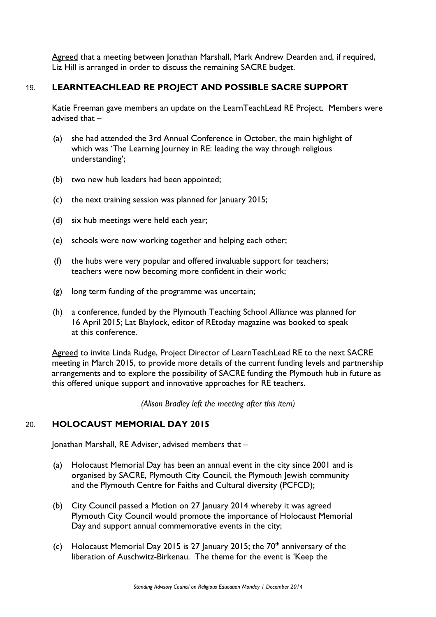Agreed that a meeting between Jonathan Marshall, Mark Andrew Dearden and, if required, Liz Hill is arranged in order to discuss the remaining SACRE budget.

# 19. **LEARNTEACHLEAD RE PROJECT AND POSSIBLE SACRE SUPPORT**

Katie Freeman gave members an update on the LearnTeachLead RE Project. Members were advised that –

- (a) she had attended the 3rd Annual Conference in October, the main highlight of which was 'The Learning Journey in RE: leading the way through religious understanding';
- (b) two new hub leaders had been appointed;
- (c) the next training session was planned for January 2015;
- (d) six hub meetings were held each year;
- (e) schools were now working together and helping each other;
- (f) the hubs were very popular and offered invaluable support for teachers; teachers were now becoming more confident in their work;
- (g) long term funding of the programme was uncertain;
- (h) a conference, funded by the Plymouth Teaching School Alliance was planned for 16 April 2015; Lat Blaylock, editor of REtoday magazine was booked to speak at this conference.

Agreed to invite Linda Rudge, Project Director of LearnTeachLead RE to the next SACRE meeting in March 2015, to provide more details of the current funding levels and partnership arrangements and to explore the possibility of SACRE funding the Plymouth hub in future as this offered unique support and innovative approaches for RE teachers.

*(Alison Bradley left the meeting after this item)* 

# 20. **HOLOCAUST MEMORIAL DAY 2015**

Jonathan Marshall, RE Adviser, advised members that –

- (a) Holocaust Memorial Day has been an annual event in the city since 2001 and is organised by SACRE, Plymouth City Council, the Plymouth Jewish community and the Plymouth Centre for Faiths and Cultural diversity (PCFCD);
- (b) City Council passed a Motion on 27 January 2014 whereby it was agreed Plymouth City Council would promote the importance of Holocaust Memorial Day and support annual commemorative events in the city;
- (c) Holocaust Memorial Day 2015 is 27 January 2015; the  $70<sup>th</sup>$  anniversary of the liberation of Auschwitz-Birkenau. The theme for the event is 'Keep the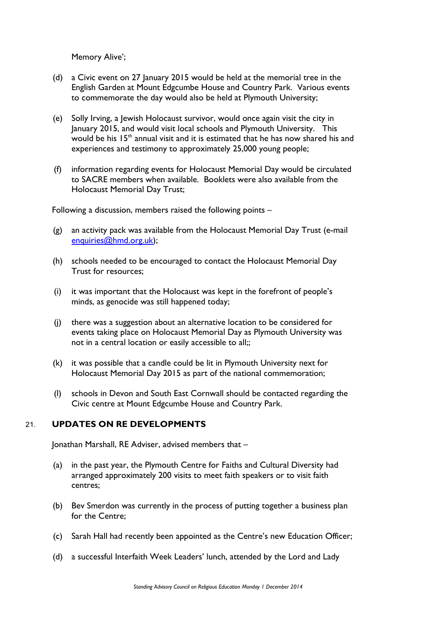Memory Alive';

- (d) a Civic event on 27 January 2015 would be held at the memorial tree in the English Garden at Mount Edgcumbe House and Country Park. Various events to commemorate the day would also be held at Plymouth University;
- (e) Solly Irving, a Jewish Holocaust survivor, would once again visit the city in January 2015, and would visit local schools and Plymouth University. This would be his  $15<sup>th</sup>$  annual visit and it is estimated that he has now shared his and experiences and testimony to approximately 25,000 young people;
- (f) information regarding events for Holocaust Memorial Day would be circulated to SACRE members when available. Booklets were also available from the Holocaust Memorial Day Trust;

Following a discussion, members raised the following points –

- (g) an activity pack was available from the Holocaust Memorial Day Trust (e-mail enquiries@hmd.org.uk);
- (h) schools needed to be encouraged to contact the Holocaust Memorial Day Trust for resources;
- (i) it was important that the Holocaust was kept in the forefront of people's minds, as genocide was still happened today;
- (j) there was a suggestion about an alternative location to be considered for events taking place on Holocaust Memorial Day as Plymouth University was not in a central location or easily accessible to all;;
- (k) it was possible that a candle could be lit in Plymouth University next for Holocaust Memorial Day 2015 as part of the national commemoration;
- (l) schools in Devon and South East Cornwall should be contacted regarding the Civic centre at Mount Edgcumbe House and Country Park.

### 21. **UPDATES ON RE DEVELOPMENTS**

Jonathan Marshall, RE Adviser, advised members that –

- (a) in the past year, the Plymouth Centre for Faiths and Cultural Diversity had arranged approximately 200 visits to meet faith speakers or to visit faith centres;
- (b) Bev Smerdon was currently in the process of putting together a business plan for the Centre;
- (c) Sarah Hall had recently been appointed as the Centre's new Education Officer;
- (d) a successful Interfaith Week Leaders' lunch, attended by the Lord and Lady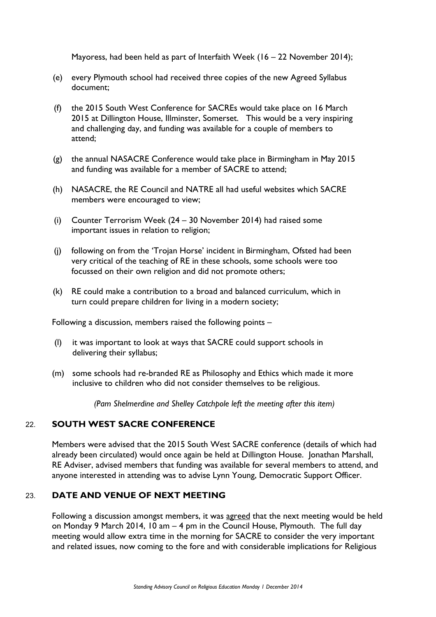Mayoress, had been held as part of Interfaith Week (16 – 22 November 2014);

- (e) every Plymouth school had received three copies of the new Agreed Syllabus document;
- (f) the 2015 South West Conference for SACREs would take place on 16 March 2015 at Dillington House, Illminster, Somerset. This would be a very inspiring and challenging day, and funding was available for a couple of members to attend;
- (g) the annual NASACRE Conference would take place in Birmingham in May 2015 and funding was available for a member of SACRE to attend;
- (h) NASACRE, the RE Council and NATRE all had useful websites which SACRE members were encouraged to view;
- (i) Counter Terrorism Week (24 30 November 2014) had raised some important issues in relation to religion;
- (j) following on from the 'Trojan Horse' incident in Birmingham, Ofsted had been very critical of the teaching of RE in these schools, some schools were too focussed on their own religion and did not promote others;
- (k) RE could make a contribution to a broad and balanced curriculum, which in turn could prepare children for living in a modern society;

Following a discussion, members raised the following points –

- (l) it was important to look at ways that SACRE could support schools in delivering their syllabus;
- (m) some schools had re-branded RE as Philosophy and Ethics which made it more inclusive to children who did not consider themselves to be religious.

*(Pam Shelmerdine and Shelley Catchpole left the meeting after this item)* 

#### 22. **SOUTH WEST SACRE CONFERENCE**

Members were advised that the 2015 South West SACRE conference (details of which had already been circulated) would once again be held at Dillington House. Jonathan Marshall, RE Adviser, advised members that funding was available for several members to attend, and anyone interested in attending was to advise Lynn Young, Democratic Support Officer.

### 23. **DATE AND VENUE OF NEXT MEETING**

Following a discussion amongst members, it was agreed that the next meeting would be held on Monday 9 March 2014, 10 am – 4 pm in the Council House, Plymouth. The full day meeting would allow extra time in the morning for SACRE to consider the very important and related issues, now coming to the fore and with considerable implications for Religious